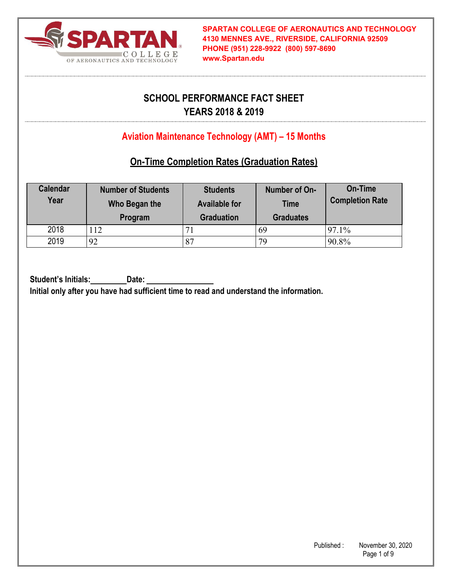

# **SCHOOL PERFORMANCE FACT SHEET YEARS 2018 & 2019**

# **Aviation Maintenance Technology (AMT) – 15 Months**

## **On-Time Completion Rates (Graduation Rates)**

| <b>Calendar</b><br>Year | <b>Number of Students</b><br>Who Began the<br>Program | <b>Students</b><br><b>Available for</b><br><b>Graduation</b> | Number of On-<br><b>Time</b><br><b>Graduates</b> | On-Time<br><b>Completion Rate</b> |
|-------------------------|-------------------------------------------------------|--------------------------------------------------------------|--------------------------------------------------|-----------------------------------|
| 2018                    | 112                                                   |                                                              | 69                                               | 97.1%                             |
| 2019                    | 92                                                    | 87                                                           | 79                                               | 90.8%                             |

Student's Initials: Date: **Initial only after you have had sufficient time to read and understand the information.**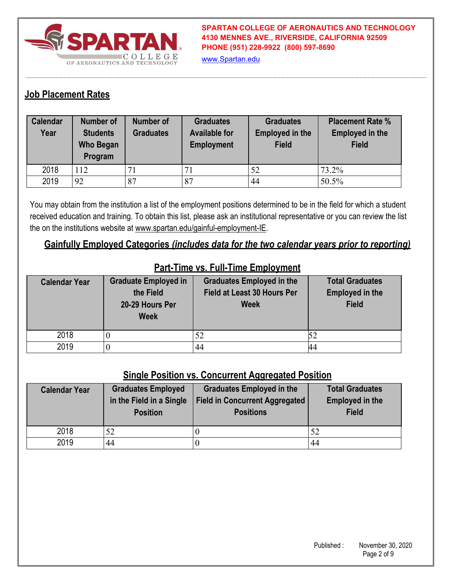

www.Spartan.edu

### **Job Placement Rates**

| <b>Calendar</b><br>Year | Number of<br><b>Students</b><br><b>Who Began</b><br>Program | <b>Number of</b><br><b>Graduates</b> | <b>Graduates</b><br><b>Available for</b><br><b>Employment</b> | <b>Graduates</b><br><b>Employed in the</b><br><b>Field</b> | <b>Placement Rate %</b><br><b>Employed in the</b><br><b>Field</b> |
|-------------------------|-------------------------------------------------------------|--------------------------------------|---------------------------------------------------------------|------------------------------------------------------------|-------------------------------------------------------------------|
| 2018                    | 112                                                         |                                      |                                                               | 52                                                         | 73.2%                                                             |
| 2019                    | 92                                                          | 87                                   | 87                                                            | 44                                                         | 50.5%                                                             |

You may obtain from the institution a list of the employment positions determined to be in the field for which a student received education and training. To obtain this list, please ask an institutional representative or you can review the list the on the institutions website at www.spartan.edu/gainful-employment-IE.

#### **Gainfully Employed Categories** *(includes data for the two calendar years prior to reporting)*

| <b>Calendar Year</b> | <b>Graduate Employed in</b><br>the Field<br>20-29 Hours Per<br><b>Week</b> | <b>Graduates Employed in the</b><br>Field at Least 30 Hours Per<br><b>Week</b> | <b>Total Graduates</b><br><b>Employed in the</b><br><b>Field</b> |
|----------------------|----------------------------------------------------------------------------|--------------------------------------------------------------------------------|------------------------------------------------------------------|
| 2018                 |                                                                            | 52                                                                             |                                                                  |
| 2019                 |                                                                            | 44                                                                             |                                                                  |

## **Part-Time vs. Full-Time Employment**

#### **Single Position vs. Concurrent Aggregated Position**

| <b>Calendar Year</b> | <b>Graduates Employed</b><br>in the Field in a Single<br><b>Position</b> | <b>Graduates Employed in the</b><br><b>Field in Concurrent Aggregated</b><br><b>Positions</b> | <b>Total Graduates</b><br><b>Employed in the</b><br><b>Field</b> |
|----------------------|--------------------------------------------------------------------------|-----------------------------------------------------------------------------------------------|------------------------------------------------------------------|
| 2018                 |                                                                          |                                                                                               | 52                                                               |
| 2019                 | 44                                                                       |                                                                                               | 44                                                               |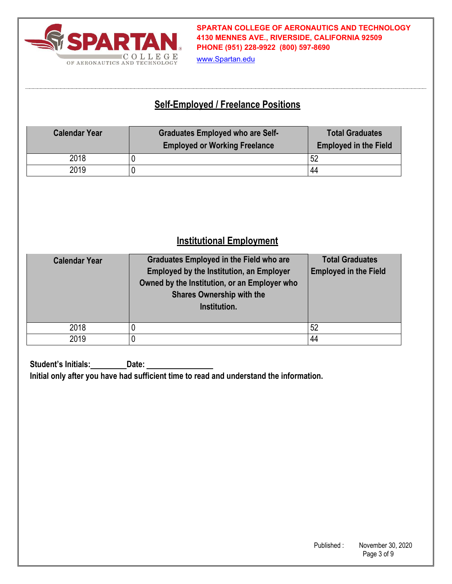

www.Spartan.edu

## **Self-Employed / Freelance Positions**

| <b>Calendar Year</b> | <b>Graduates Employed who are Self-</b><br><b>Employed or Working Freelance</b> | <b>Total Graduates</b><br><b>Employed in the Field</b> |
|----------------------|---------------------------------------------------------------------------------|--------------------------------------------------------|
| 2018                 |                                                                                 | 52                                                     |
| 2019                 |                                                                                 | 44                                                     |

# **Institutional Employment**

| <b>Calendar Year</b> | <b>Graduates Employed in the Field who are</b><br><b>Employed by the Institution, an Employer</b><br>Owned by the Institution, or an Employer who<br><b>Shares Ownership with the</b><br>Institution. | <b>Total Graduates</b><br><b>Employed in the Field</b> |
|----------------------|-------------------------------------------------------------------------------------------------------------------------------------------------------------------------------------------------------|--------------------------------------------------------|
| 2018                 |                                                                                                                                                                                                       | 52                                                     |
| 2019                 |                                                                                                                                                                                                       | 44                                                     |

**Student's Initials: Date: Initial only after you have had sufficient time to read and understand the information.**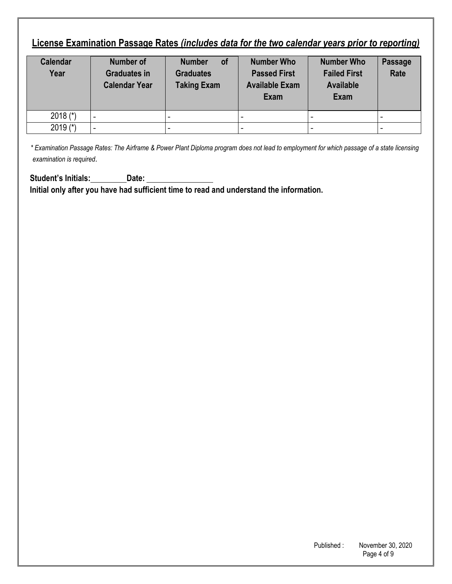# **License Examination Passage Rates** *(includes data for the two calendar years prior to reporting)*

| <b>Calendar</b><br>Year | Number of<br><b>Graduates in</b><br><b>Calendar Year</b> | of<br><b>Number</b><br><b>Graduates</b><br><b>Taking Exam</b> | <b>Number Who</b><br><b>Passed First</b><br><b>Available Exam</b><br><b>Exam</b> | <b>Number Who</b><br><b>Failed First</b><br><b>Available</b><br><b>Exam</b> | Passage<br>Rate |
|-------------------------|----------------------------------------------------------|---------------------------------------------------------------|----------------------------------------------------------------------------------|-----------------------------------------------------------------------------|-----------------|
| 2018 $(*)$              |                                                          |                                                               |                                                                                  |                                                                             |                 |
| 2019 $(*)$              |                                                          |                                                               |                                                                                  |                                                                             |                 |

*\* Examination Passage Rates: The Airframe & Power Plant Diploma program does not lead to employment for which passage of a state licensing examination is required*.

Student's Initials: Date: Date: **Initial only after you have had sufficient time to read and understand the information.**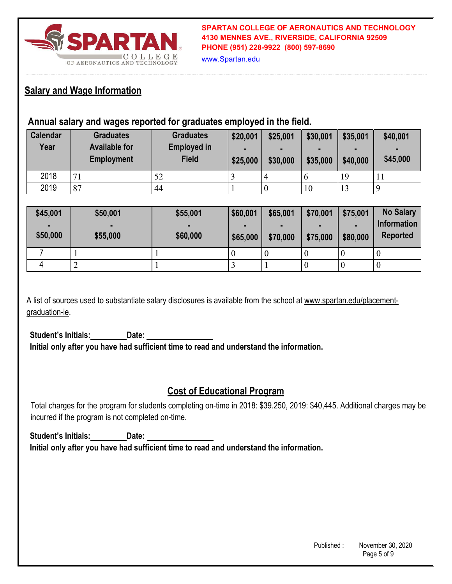

www.Spartan.edu

### **Salary and Wage Information**

### **Annual salary and wages reported for graduates employed in the field.**

| <b>Calendar</b><br>Year | <b>Graduates</b><br><b>Available for</b><br><b>Employment</b> | <b>Graduates</b><br><b>Employed in</b><br><b>Field</b> | \$20,001<br>٠<br>\$25,000 | \$25,001<br>$\blacksquare$<br>\$30,000 | \$30,001<br>\$35,000 | \$35,001<br>$\blacksquare$<br>\$40,000 | \$40,001<br>\$45,000 |
|-------------------------|---------------------------------------------------------------|--------------------------------------------------------|---------------------------|----------------------------------------|----------------------|----------------------------------------|----------------------|
| 2018                    | $\mathbf{z}$                                                  | 52                                                     |                           |                                        | $\mathfrak b$        | 19                                     |                      |
| 2019                    | 87                                                            | 44                                                     |                           | U                                      | 10                   | 13                                     |                      |

| \$45,001       | \$50,001       | \$55,001 | \$60,001 | \$65,001 | \$70,001 | \$75,001 | <b>No Salary</b>   |
|----------------|----------------|----------|----------|----------|----------|----------|--------------------|
| $\blacksquare$ | $\blacksquare$ |          |          |          |          |          | <b>Information</b> |
| \$50,000       | \$55,000       | \$60,000 | \$65,000 | \$70,000 | \$75,000 | \$80,000 | <b>Reported</b>    |
|                |                |          |          | $\theta$ |          | $\theta$ | U                  |
| 4              |                |          |          |          |          |          | U                  |

A list of sources used to substantiate salary disclosures is available from the school at www.spartan.edu/placementgraduation-ie.

**Student's Initials: Date: Initial only after you have had sufficient time to read and understand the information.** 

### **Cost of Educational Program**

Total charges for the program for students completing on-time in 2018: \$39.250, 2019: \$40,445. Additional charges may be incurred if the program is not completed on-time.

**Student's Initials: Date: Initial only after you have had sufficient time to read and understand the information.**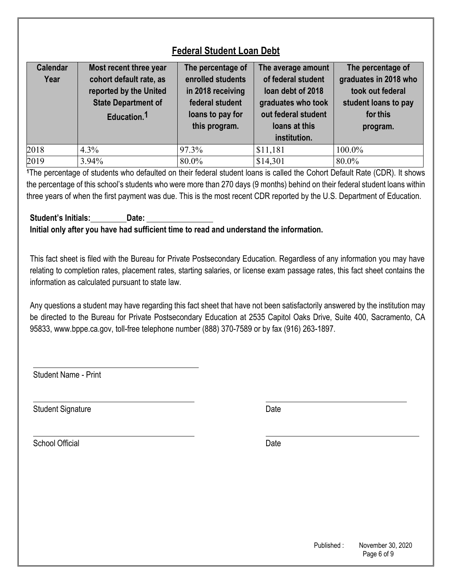# **Federal Student Loan Debt**

| <b>Calendar</b><br>Year | Most recent three year<br>cohort default rate, as<br>reported by the United<br><b>State Department of</b><br>Education. <sup>1</sup> | The percentage of<br>enrolled students<br>in 2018 receiving<br>federal student<br>loans to pay for<br>this program. | The average amount<br>of federal student<br>loan debt of 2018<br>graduates who took<br>out federal student<br>loans at this<br>institution. | The percentage of<br>graduates in 2018 who<br>took out federal<br>student loans to pay<br>for this<br>program. |
|-------------------------|--------------------------------------------------------------------------------------------------------------------------------------|---------------------------------------------------------------------------------------------------------------------|---------------------------------------------------------------------------------------------------------------------------------------------|----------------------------------------------------------------------------------------------------------------|
| 2018                    | $4.3\%$                                                                                                                              | 97.3%                                                                                                               | \$11,181                                                                                                                                    | 100.0%                                                                                                         |
| 2019                    | 3.94%                                                                                                                                | 80.0%                                                                                                               | \$14,301                                                                                                                                    | 80.0%                                                                                                          |

**<sup>1</sup>**The percentage of students who defaulted on their federal student loans is called the Cohort Default Rate (CDR). It shows the percentage of this school's students who were more than 270 days (9 months) behind on their federal student loans within three years of when the first payment was due. This is the most recent CDR reported by the U.S. Department of Education.

#### **Student's Initials: Date: Initial only after you have had sufficient time to read and understand the information.**

This fact sheet is filed with the Bureau for Private Postsecondary Education. Regardless of any information you may have relating to completion rates, placement rates, starting salaries, or license exam passage rates, this fact sheet contains the information as calculated pursuant to state law.

Any questions a student may have regarding this fact sheet that have not been satisfactorily answered by the institution may be directed to the Bureau for Private Postsecondary Education at 2535 Capitol Oaks Drive, Suite 400, Sacramento, CA 95833, www.bppe.ca.gov, toll-free telephone number (888) 370-7589 or by fax (916) 263-1897.

Student Name - Print

Student Signature Date Date Controllers and Date Date Date

School Official Date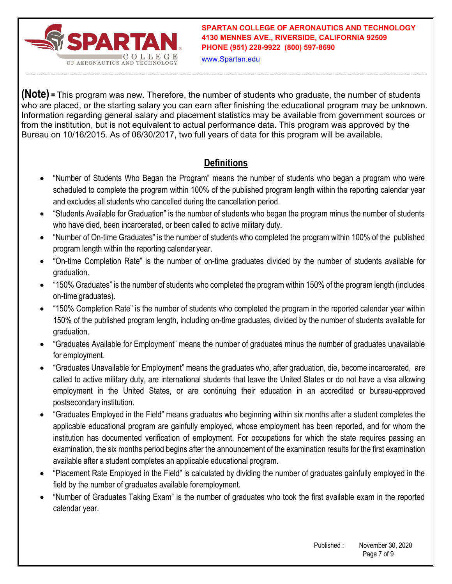

www.Spartan.edu

**(Note) =** This program was new. Therefore, the number of students who graduate, the number of students who are placed, or the starting salary you can earn after finishing the educational program may be unknown. Information regarding general salary and placement statistics may be available from government sources or from the institution, but is not equivalent to actual performance data. This program was approved by the Bureau on 10/16/2015. As of 06/30/2017, two full years of data for this program will be available.

# **Definitions**

- "Number of Students Who Began the Program" means the number of students who began a program who were scheduled to complete the program within 100% of the published program length within the reporting calendar year and excludes all students who cancelled during the cancellation period.
- "Students Available for Graduation" is the number of students who began the program minus the number of students who have died, been incarcerated, or been called to active military duty.
- "Number of On-time Graduates" is the number of students who completed the program within 100% of the published program length within the reporting calendar year.
- "On-time Completion Rate" is the number of on-time graduates divided by the number of students available for graduation.
- "150% Graduates" is the number of students who completed the program within 150% of the program length (includes on-time graduates).
- "150% Completion Rate" is the number of students who completed the program in the reported calendar year within 150% of the published program length, including on-time graduates, divided by the number of students available for graduation.
- "Graduates Available for Employment" means the number of graduates minus the number of graduates unavailable for employment.
- "Graduates Unavailable for Employment" means the graduates who, after graduation, die, become incarcerated, are called to active military duty, are international students that leave the United States or do not have a visa allowing employment in the United States, or are continuing their education in an accredited or bureau-approved postsecondary institution.
- "Graduates Employed in the Field" means graduates who beginning within six months after a student completes the applicable educational program are gainfully employed, whose employment has been reported, and for whom the institution has documented verification of employment. For occupations for which the state requires passing an examination, the six months period begins after the announcement of the examination results for the first examination available after a student completes an applicable educational program.
- "Placement Rate Employed in the Field" is calculated by dividing the number of graduates gainfully employed in the field by the number of graduates available for employment.
- "Number of Graduates Taking Exam" is the number of graduates who took the first available exam in the reported calendar year.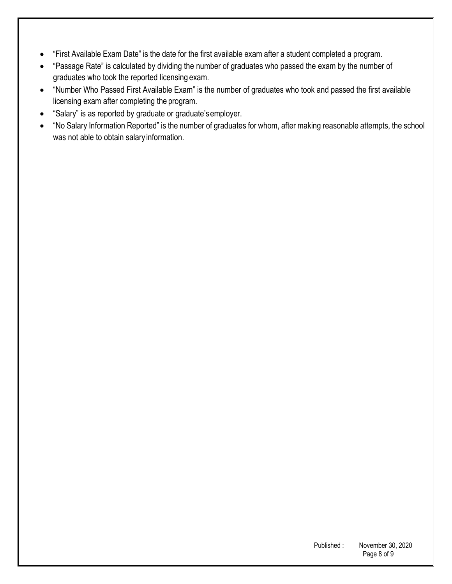- "First Available Exam Date" is the date for the first available exam after a student completed a program.
- "Passage Rate" is calculated by dividing the number of graduates who passed the exam by the number of graduates who took the reported licensing exam.
- "Number Who Passed First Available Exam" is the number of graduates who took and passed the first available licensing exam after completing the program.
- "Salary" is as reported by graduate or graduate's employer.
- "No Salary Information Reported" is the number of graduates for whom, after making reasonable attempts, the school was not able to obtain salary information.